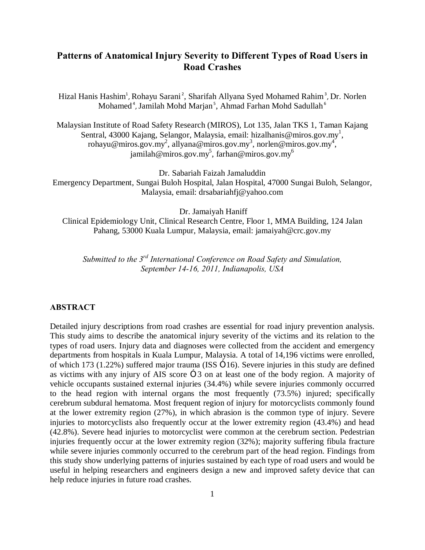# **Patterns of Anatomical Injury Severity to Different Types of Road Users in Road Crashes**

Hizal Hanis Hashim<sup>1</sup>, Rohayu Sarani<sup>2</sup>, Sharifah Allyana Syed Mohamed Rahim<sup>3</sup>, Dr. Norlen Mohamed<sup>4</sup>, Jamilah Mohd Marjan<sup>5</sup>, Ahmad Farhan Mohd Sadullah<sup>6</sup>

Malaysian Institute of Road Safety Research (MIROS), Lot 135, Jalan TKS 1, Taman Kajang Sentral, 43000 Kajang, Selangor, Malaysia, email: hizalhanis@miros.gov.my<sup>1</sup>, rohayu@miros.gov.my<sup>2</sup>, allyana@miros.gov.my<sup>3</sup>, norlen@miros.gov.my<sup>4</sup>, jamilah@miros.gov.my<sup>5</sup>, farhan@miros.gov.my<sup>6</sup>

Dr. Sabariah Faizah Jamaluddin

Emergency Department, Sungai Buloh Hospital, Jalan Hospital, 47000 Sungai Buloh, Selangor, Malaysia, email: drsabariahfj@yahoo.com

Dr. Jamaiyah Haniff

Clinical Epidemiology Unit, Clinical Research Centre, Floor 1, MMA Building, 124 Jalan Pahang, 53000 Kuala Lumpur, Malaysia, email: jamaiyah@crc.gov.my

*Submitted to the 3rd International Conference on Road Safety and Simulation, September 14-16, 2011, Indianapolis, USA*

### **ABSTRACT**

Detailed injury descriptions from road crashes are essential for road injury prevention analysis. This study aims to describe the anatomical injury severity of the victims and its relation to the types of road users. Injury data and diagnoses were collected from the accident and emergency departments from hospitals in Kuala Lumpur, Malaysia. A total of 14,196 victims were enrolled, of which 173 (1.22%) suffered major trauma (ISS  $\times$  16). Severe injuries in this study are defined as victims with any injury of AIS score  $\times$  3 on at least one of the body region. A majority of vehicle occupants sustained external injuries (34.4%) while severe injuries commonly occurred to the head region with internal organs the most frequently (73.5%) injured; specifically cerebrum subdural hematoma. Most frequent region of injury for motorcyclists commonly found at the lower extremity region (27%), in which abrasion is the common type of injury. Severe injuries to motorcyclists also frequently occur at the lower extremity region (43.4%) and head (42.8%). Severe head injuries to motorcyclist were common at the cerebrum section. Pedestrian injuries frequently occur at the lower extremity region (32%); majority suffering fibula fracture while severe injuries commonly occurred to the cerebrum part of the head region. Findings from this study show underlying patterns of injuries sustained by each type of road users and would be useful in helping researchers and engineers design a new and improved safety device that can help reduce injuries in future road crashes.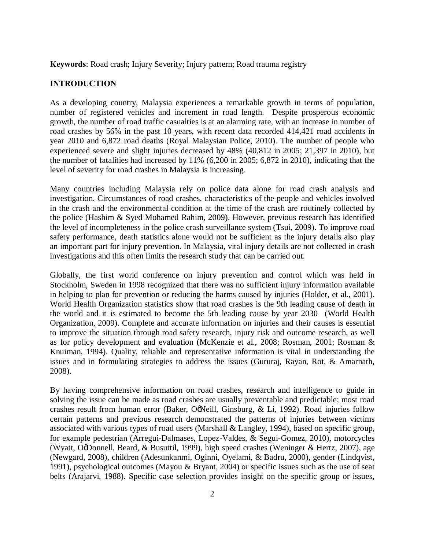**Keywords**: Road crash; Injury Severity; Injury pattern; Road trauma registry

### **INTRODUCTION**

As a developing country, Malaysia experiences a remarkable growth in terms of population, number of registered vehicles and increment in road length. Despite prosperous economic growth, the number of road traffic casualties is at an alarming rate, with an increase in number of road crashes by 56% in the past 10 years, with recent data recorded 414,421 road accidents in year 2010 and 6,872 road deaths (Royal Malaysian Police, 2010). The number of people who experienced severe and slight injuries decreased by 48% (40,812 in 2005; 21,397 in 2010), but the number of fatalities had increased by 11% (6,200 in 2005; 6,872 in 2010), indicating that the level of severity for road crashes in Malaysia is increasing.

Many countries including Malaysia rely on police data alone for road crash analysis and investigation. Circumstances of road crashes, characteristics of the people and vehicles involved in the crash and the environmental condition at the time of the crash are routinely collected by the police (Hashim & Syed Mohamed Rahim, 2009). However, previous research has identified the level of incompleteness in the police crash surveillance system (Tsui, 2009). To improve road safety performance, death statistics alone would not be sufficient as the injury details also play an important part for injury prevention. In Malaysia, vital injury details are not collected in crash investigations and this often limits the research study that can be carried out.

Globally, the first world conference on injury prevention and control which was held in Stockholm, Sweden in 1998 recognized that there was no sufficient injury information available in helping to plan for prevention or reducing the harms caused by injuries (Holder, et al., 2001). World Health Organization statistics show that road crashes is the 9th leading cause of death in the world and it is estimated to become the 5th leading cause by year 2030 (World Health Organization, 2009). Complete and accurate information on injuries and their causes is essential to improve the situation through road safety research, injury risk and outcome research, as well as for policy development and evaluation (McKenzie et al., 2008; Rosman, 2001; Rosman & Knuiman, 1994). Quality, reliable and representative information is vital in understanding the issues and in formulating strategies to address the issues (Gururaj, Rayan, Rot, & Amarnath, 2008).

By having comprehensive information on road crashes, research and intelligence to guide in solving the issue can be made as road crashes are usually preventable and predictable; most road crashes result from human error (Baker, OgNeill, Ginsburg, & Li, 1992). Road injuries follow certain patterns and previous research demonstrated the patterns of injuries between victims associated with various types of road users (Marshall & Langley, 1994), based on specific group, for example pedestrian (Arregui-Dalmases, Lopez-Valdes, & Segui-Gomez, 2010), motorcycles (Wyatt, OgDonnell, Beard, & Busuttil, 1999), high speed crashes (Weninger & Hertz, 2007), age (Newgard, 2008), children (Adesunkanmi, Oginni, Oyelami, & Badru, 2000), gender (Lindqvist, 1991), psychological outcomes (Mayou & Bryant, 2004) or specific issues such as the use of seat belts (Arajarvi, 1988). Specific case selection provides insight on the specific group or issues,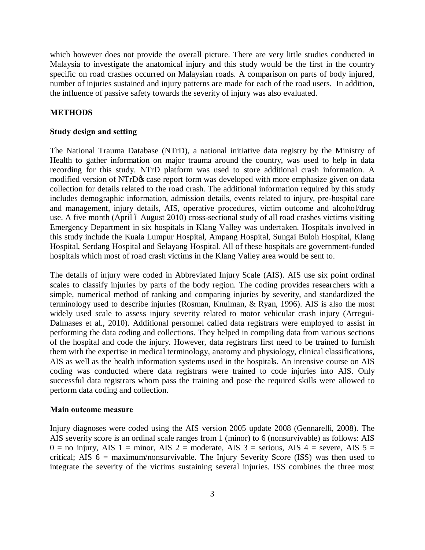which however does not provide the overall picture. There are very little studies conducted in Malaysia to investigate the anatomical injury and this study would be the first in the country specific on road crashes occurred on Malaysian roads. A comparison on parts of body injured, number of injuries sustained and injury patterns are made for each of the road users. In addition, the influence of passive safety towards the severity of injury was also evaluated.

### **METHODS**

#### **Study design and setting**

The National Trauma Database (NTrD), a national initiative data registry by the Ministry of Health to gather information on major trauma around the country, was used to help in data recording for this study. NTrD platform was used to store additional crash information. A modified version of NTrD $\alpha$  case report form was developed with more emphasize given on data collection for details related to the road crash. The additional information required by this study includes demographic information, admission details, events related to injury, pre-hospital care and management, injury details, AIS, operative procedures, victim outcome and alcohol/drug use. A five month (April ó August 2010) cross-sectional study of all road crashes victims visiting Emergency Department in six hospitals in Klang Valley was undertaken. Hospitals involved in this study include the Kuala Lumpur Hospital, Ampang Hospital, Sungai Buloh Hospital, Klang Hospital, Serdang Hospital and Selayang Hospital. All of these hospitals are government-funded hospitals which most of road crash victims in the Klang Valley area would be sent to.

The details of injury were coded in Abbreviated Injury Scale (AIS). AIS use six point ordinal scales to classify injuries by parts of the body region. The coding provides researchers with a simple, numerical method of ranking and comparing injuries by severity, and standardized the terminology used to describe injuries (Rosman, Knuiman, & Ryan, 1996). AIS is also the most widely used scale to assess injury severity related to motor vehicular crash injury (Arregui-Dalmases et al., 2010). Additional personnel called data registrars were employed to assist in performing the data coding and collections. They helped in compiling data from various sections of the hospital and code the injury. However, data registrars first need to be trained to furnish them with the expertise in medical terminology, anatomy and physiology, clinical classifications, AIS as well as the health information systems used in the hospitals. An intensive course on AIS coding was conducted where data registrars were trained to code injuries into AIS. Only successful data registrars whom pass the training and pose the required skills were allowed to perform data coding and collection.

#### **Main outcome measure**

Injury diagnoses were coded using the AIS version 2005 update 2008 (Gennarelli, 2008). The AIS severity score is an ordinal scale ranges from 1 (minor) to 6 (nonsurvivable) as follows: AIS  $0 =$  no injury, AIS 1 = minor, AIS 2 = moderate, AIS 3 = serious, AIS 4 = severe, AIS 5 = critical; AIS 6 = maximum/nonsurvivable. The Injury Severity Score (ISS) was then used to integrate the severity of the victims sustaining several injuries. ISS combines the three most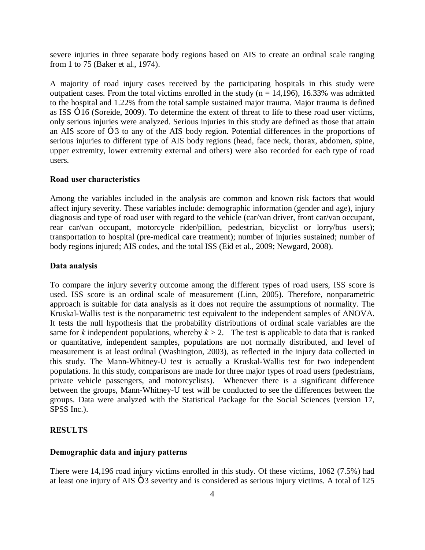severe injuries in three separate body regions based on AIS to create an ordinal scale ranging from 1 to 75 (Baker et al., 1974).

A majority of road injury cases received by the participating hospitals in this study were outpatient cases. From the total victims enrolled in the study ( $n = 14,196$ ), 16.33% was admitted to the hospital and 1.22% from the total sample sustained major trauma. Major trauma is defined as ISS  $\times$  16 (Soreide, 2009). To determine the extent of threat to life to these road user victims, only serious injuries were analyzed. Serious injuries in this study are defined as those that attain an AIS score of  $\times$  3 to any of the AIS body region. Potential differences in the proportions of serious injuries to different type of AIS body regions (head, face neck, thorax, abdomen, spine, upper extremity, lower extremity external and others) were also recorded for each type of road users.

#### **Road user characteristics**

Among the variables included in the analysis are common and known risk factors that would affect injury severity. These variables include: demographic information (gender and age), injury diagnosis and type of road user with regard to the vehicle (car/van driver, front car/van occupant, rear car/van occupant, motorcycle rider/pillion, pedestrian, bicyclist or lorry/bus users); transportation to hospital (pre-medical care treatment); number of injuries sustained; number of body regions injured; AIS codes, and the total ISS (Eid et al., 2009; Newgard, 2008).

#### **Data analysis**

To compare the injury severity outcome among the different types of road users, ISS score is used. ISS score is an ordinal scale of measurement (Linn, 2005). Therefore, nonparametric approach is suitable for data analysis as it does not require the assumptions of normality. The Kruskal-Wallis test is the nonparametric test equivalent to the independent samples of ANOVA. It tests the null hypothesis that the probability distributions of ordinal scale variables are the same for *k* independent populations, whereby  $k > 2$ . The test is applicable to data that is ranked or quantitative, independent samples, populations are not normally distributed, and level of measurement is at least ordinal (Washington, 2003), as reflected in the injury data collected in this study. The Mann-Whitney-U test is actually a Kruskal-Wallis test for two independent populations. In this study, comparisons are made for three major types of road users (pedestrians, private vehicle passengers, and motorcyclists). Whenever there is a significant difference between the groups, Mann-Whitney-U test will be conducted to see the differences between the groups. Data were analyzed with the Statistical Package for the Social Sciences (version 17, SPSS Inc.).

#### **RESULTS**

#### **Demographic data and injury patterns**

There were 14,196 road injury victims enrolled in this study. Of these victims, 1062 (7.5%) had at least one injury of  $\text{AIS} \times 3$  severity and is considered as serious injury victims. A total of 125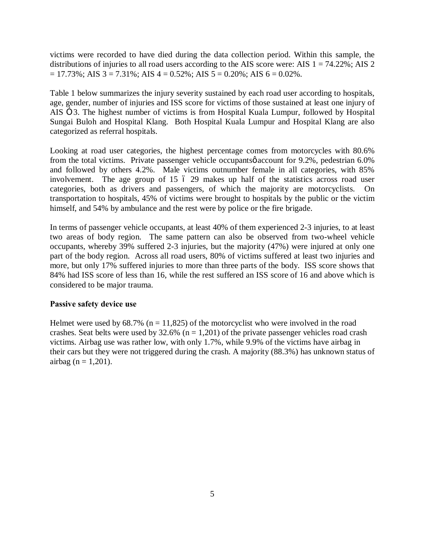victims were recorded to have died during the data collection period. Within this sample, the distributions of injuries to all road users according to the AIS score were: AIS  $1 = 74.22\%$ ; AIS  $2$  $= 17.73\%$ ; AIS 3 = 7.31%; AIS 4 = 0.52%; AIS 5 = 0.20%; AIS 6 = 0.02%.

Table 1 below summarizes the injury severity sustained by each road user according to hospitals, age, gender, number of injuries and ISS score for victims of those sustained at least one injury of AIS  $\times$  3. The highest number of victims is from Hospital Kuala Lumpur, followed by Hospital Sungai Buloh and Hospital Klang. Both Hospital Kuala Lumpur and Hospital Klang are also categorized as referral hospitals.

Looking at road user categories, the highest percentage comes from motorcycles with 80.6% from the total victims. Private passenger vehicle occupantsø account for 9.2%, pedestrian 6.0% and followed by others 4.2%. Male victims outnumber female in all categories, with 85% involvement. The age group of  $15\,$   $6\,$   $29\,$  makes up half of the statistics across road user categories, both as drivers and passengers, of which the majority are motorcyclists. On transportation to hospitals, 45% of victims were brought to hospitals by the public or the victim himself, and 54% by ambulance and the rest were by police or the fire brigade.

In terms of passenger vehicle occupants, at least 40% of them experienced 2-3 injuries, to at least two areas of body region. The same pattern can also be observed from two-wheel vehicle occupants, whereby 39% suffered 2-3 injuries, but the majority (47%) were injured at only one part of the body region. Across all road users, 80% of victims suffered at least two injuries and more, but only 17% suffered injuries to more than three parts of the body. ISS score shows that 84% had ISS score of less than 16, while the rest suffered an ISS score of 16 and above which is considered to be major trauma.

## **Passive safety device use**

Helmet were used by  $68.7\%$  (n = 11,825) of the motorcyclist who were involved in the road crashes. Seat belts were used by  $32.6\%$  (n = 1,201) of the private passenger vehicles road crash victims. Airbag use was rather low, with only 1.7%, while 9.9% of the victims have airbag in their cars but they were not triggered during the crash. A majority (88.3%) has unknown status of airbag (n =  $1,201$ ).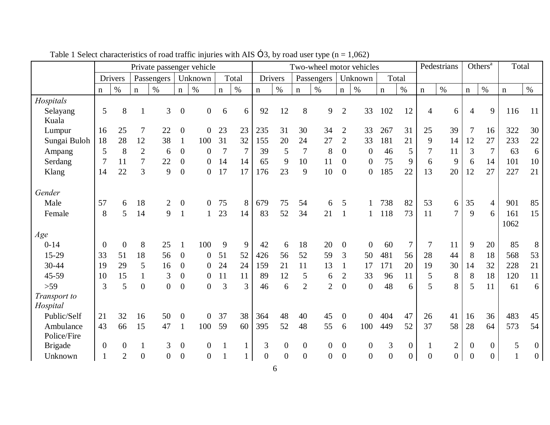|                          | Private passenger vehicle |                |                  |                  |                  |                  | Two-wheel motor vehicles |                |                  |                |                | Pedestrians      |                | Others <sup>a</sup><br>Total |                  |                  |                |                  |                  |                  |             |                  |
|--------------------------|---------------------------|----------------|------------------|------------------|------------------|------------------|--------------------------|----------------|------------------|----------------|----------------|------------------|----------------|------------------------------|------------------|------------------|----------------|------------------|------------------|------------------|-------------|------------------|
|                          |                           | <b>Drivers</b> |                  | Passengers       |                  | Unknown          |                          | Total          |                  | <b>Drivers</b> |                | Passengers       |                | Unknown                      |                  | Total            |                |                  |                  |                  |             |                  |
|                          | $\mathbf n$               | $\%$           | $\mathbf n$      | $\%$             | $\mathbf n$      | $\%$             | $\mathbf n$              | $\%$           | $\mathbf n$      | $\%$           | $\mathbf n$    | $\%$             | $\mathbf n$    | $\%$                         | $\mathbf n$      | $\%$             | $\mathbf n$    | $\%$             | $\mathbf n$      | $\%$             | $\mathbf n$ | $\%$             |
| Hospitals                |                           |                |                  |                  |                  |                  |                          |                |                  |                |                |                  |                |                              |                  |                  |                |                  |                  |                  |             |                  |
| Selayang<br>Kuala        | 5                         | 8              | $\mathbf{1}$     | 3                | $\overline{0}$   | $\overline{0}$   | 6                        | 6              | 92               | 12             | 8              | 9                | $\overline{2}$ | 33                           | 102              | 12               | $\overline{4}$ | 6                | $\overline{4}$   | 9                | 116         | 11               |
| Lumpur                   | 16                        | 25             | $\boldsymbol{7}$ | 22               | $\boldsymbol{0}$ | $\overline{0}$   | 23                       | 23             | 235              | 31             | 30             | 34               | $\overline{2}$ | 33                           | 267              | 31               | 25             | 39               |                  | 16               | 322         | 30               |
| Sungai Buloh             | 18                        | 28             | 12               | 38               | $\mathbf{1}$     | 100              | 31                       | 32             | 155              | 20             | 24             | 27               | $\overline{2}$ | 33                           | 181              | 21               | 9              | 14               | 12               | 27               | 233         | 22               |
| Ampang                   | 5                         | 8              | $\mathbf{2}$     | 6                | $\boldsymbol{0}$ | $\boldsymbol{0}$ | 7                        | $\overline{7}$ | 39               | 5              | $\tau$         | 8                | $\mathbf{0}$   | $\mathbf{0}$                 | 46               | 5                | $\tau$         | 11               | 3                | $\tau$           | 63          | 6                |
| Serdang                  |                           | 11             | $\tau$           | 22               | $\boldsymbol{0}$ | $\overline{0}$   | 14                       | 14             | 65               | 9              | 10             | 11               | $\mathbf{0}$   | $\overline{0}$               | 75               | 9                | 6              | 9                | 6                | 14               | 101         | 10               |
| Klang                    | 14                        | 22             | 3                | 9                | $\boldsymbol{0}$ | $\overline{0}$   | 17                       | 17             | 176              | 23             | 9              | 10               | $\overline{0}$ | $\overline{0}$               | 185              | 22               | 13             | 20               | 12               | 27               | 227         | 21               |
| Gender                   |                           |                |                  |                  |                  |                  |                          |                |                  |                |                |                  |                |                              |                  |                  |                |                  |                  |                  |             |                  |
| Male                     | 57                        | 6              | 18               | $\overline{c}$   | $\boldsymbol{0}$ | $\overline{0}$   | 75                       | 8              | 679              | 75             | 54             | 6                | 5              |                              | 738              | 82               | 53             | 6                | 35               | $\overline{4}$   | 901         | 85               |
| Female                   | 8                         | 5              | 14               | 9                |                  | $\mathbf{1}$     | 23                       | 14             | 83               | 52             | 34             | 21               | $\overline{1}$ | 1                            | 118              | 73               | 11             | 7                | 9                | 6                | 161         | 15               |
|                          |                           |                |                  |                  |                  |                  |                          |                |                  |                |                |                  |                |                              |                  |                  |                |                  |                  |                  | 1062        |                  |
| Age                      |                           |                |                  |                  |                  |                  |                          |                |                  |                |                |                  |                |                              |                  |                  |                |                  |                  |                  |             |                  |
| $0-14$                   | $\overline{0}$            | $\overline{0}$ | 8                | 25               |                  | 100              | 9                        | 9              | 42               | 6              | 18             | 20               | $\overline{0}$ | $\Omega$                     | 60               | 7                | 7              | 11               | 9                | 20               | 85          | 8                |
| $15-29$                  | 33                        | 51             | 18               | 56               | $\overline{0}$   | $\boldsymbol{0}$ | 51                       | 52             | 426              | 56             | 52             | 59               | 3              | 50                           | 481              | 56               | 28             | 44               | 8                | 18               | 568         | 53               |
| 30-44                    | 19                        | 29             | 5                | 16               | $\boldsymbol{0}$ | $\overline{0}$   | 24                       | 24             | 159              | 21             | 11             | 13               |                | 17                           | 171              | 20               | 19             | 30               | 14               | 32               | 228         | 21               |
| 45-59                    | 10                        | 15             | $\mathbf{1}$     | 3                | $\boldsymbol{0}$ | $\overline{0}$   | 11                       | 11             | 89               | 12             | 5              | 6                | 2              | 33                           | 96               | 11               | 5              | 8                | 8                | 18               | 120         | 11               |
| $>59$                    | 3                         | 5              | $\boldsymbol{0}$ | $\boldsymbol{0}$ | $\boldsymbol{0}$ | $\overline{0}$   | 3                        | 3              | 46               | 6              | $\overline{2}$ | $\overline{2}$   | $\overline{0}$ | $\overline{0}$               | 48               | 6                | 5              | 8                | 5                | 11               | 61          | 6                |
| Transport to<br>Hospital |                           |                |                  |                  |                  |                  |                          |                |                  |                |                |                  |                |                              |                  |                  |                |                  |                  |                  |             |                  |
| Public/Self              | 21                        | 32             | 16               | 50               | $\boldsymbol{0}$ | $\overline{0}$   | 37                       | 38             | 364              | 48             | 40             | 45               | $\overline{0}$ | $\Omega$                     | 404              | 47               | 26             | 41               | 16               | 36               | 483         | 45               |
| Ambulance<br>Police/Fire | 43                        | 66             | 15               | 47               | $\mathbf{1}$     | 100              | 59                       | 60             | 395              | 52             | 48             | 55               | 6              | 100                          | 449              | 52               | 37             | 58               | 28               | 64               | 573         | 54               |
| <b>Brigade</b>           | $\theta$                  | $\overline{0}$ | $\mathbf{1}$     | 3                | $\boldsymbol{0}$ | $\overline{0}$   | $\mathbf{1}$             |                | 3                | $\overline{0}$ | $\overline{0}$ | $\overline{0}$   | $\mathbf{0}$   | $\overline{0}$               | 3                | $\boldsymbol{0}$ | $\mathbf{1}$   | $\overline{2}$   | $\mathbf{0}$     | $\boldsymbol{0}$ | 5           | $\boldsymbol{0}$ |
| Unknown                  | $\mathbf{1}$              | $\overline{2}$ | $\boldsymbol{0}$ | $\boldsymbol{0}$ | $\boldsymbol{0}$ | $\overline{0}$   |                          |                | $\boldsymbol{0}$ | $\overline{0}$ | $\overline{0}$ | $\boldsymbol{0}$ | $\overline{0}$ | $\overline{0}$               | $\boldsymbol{0}$ | $\boldsymbol{0}$ | $\overline{0}$ | $\boldsymbol{0}$ | $\boldsymbol{0}$ | $\overline{0}$   |             | $\boldsymbol{0}$ |

Table 1 Select characteristics of road traffic injuries with  $\text{AIS} \times 3$ , by road user type (n = 1,062)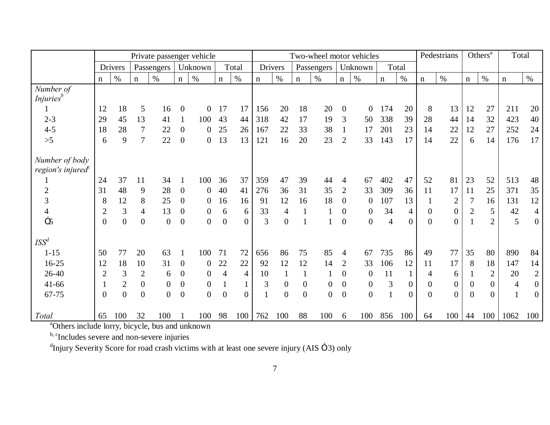|                                                 | Private passenger vehicle |                |                  |                  |                  |                  | Two-wheel motor vehicles |                |                |                |                  |                | Others <sup>a</sup><br>Pedestrians |                  | Total          |                  |                |                  |                |                |                |                  |
|-------------------------------------------------|---------------------------|----------------|------------------|------------------|------------------|------------------|--------------------------|----------------|----------------|----------------|------------------|----------------|------------------------------------|------------------|----------------|------------------|----------------|------------------|----------------|----------------|----------------|------------------|
|                                                 |                           | Drivers        |                  | Passengers       |                  | Unknown          |                          | Total          |                | Drivers        |                  | Passengers     |                                    | Unknown          |                | Total            |                |                  |                |                |                |                  |
|                                                 | $\mathbf n$               | $\%$           | $\mathbf n$      | $\%$             | $\mathbf n$      | $\%$             | $\mathbf n$              | $\%$           | $\mathbf n$    | $\%$           | $\mathbf n$      | $\%$           | $\mathbf n$                        | $\%$             | $\mathbf n$    | $\%$             | $\mathbf n$    | $\%$             | $\mathbf n$    | $\%$           | $\mathbf n$    | $\%$             |
| Number of                                       |                           |                |                  |                  |                  |                  |                          |                |                |                |                  |                |                                    |                  |                |                  |                |                  |                |                |                |                  |
| <i>Injuries</i> <sup>b</sup>                    |                           |                |                  |                  |                  |                  |                          |                |                |                |                  |                |                                    |                  |                |                  |                |                  |                |                |                |                  |
| 1                                               | 12                        | 18             | 5                | 16               | $\boldsymbol{0}$ | $\overline{0}$   | 17                       | 17             | 156            | 20             | 18               | 20             | $\overline{0}$                     | $\boldsymbol{0}$ | 174            | 20               | 8              | 13               | 12             | 27             | 211            | 20               |
| $2 - 3$                                         | 29                        | 45             | 13               | 41               |                  | 100              | 43                       | 44             | 318            | 42             | 17               | 19             | 3                                  | 50               | 338            | 39               | 28             | 44               | 14             | 32             | 423            | 40               |
| $4 - 5$                                         | 18                        | 28             | 7                | 22               | $\boldsymbol{0}$ | $\overline{0}$   | 25                       | 26             | 167            | 22             | 33               | 38             | $\mathbf{1}$                       | 17               | 201            | 23               | 14             | 22               | 12             | 27             | 252            | 24               |
| $>5$                                            | 6                         | 9              | $\tau$           | 22               | $\boldsymbol{0}$ | $\overline{0}$   | 13                       | 13             | 121            | 16             | 20               | 23             | $\overline{2}$                     | 33               | 143            | 17               | 14             | 22               | 6              | 14             | 176            | 17               |
| Number of body<br>region's injured <sup>c</sup> |                           |                |                  |                  |                  |                  |                          |                |                |                |                  |                |                                    |                  |                |                  |                |                  |                |                |                |                  |
|                                                 | 24                        | 37             | 11               | 34               |                  | 100              | 36                       | 37             | 359            | 47             | 39               | 44             | 4                                  | 67               | 402            | 47               | 52             | 81               | 23             | 52             | 513            | 48               |
| $\overline{2}$                                  | 31                        | 48             | 9                | 28               | $\overline{0}$   | $\overline{0}$   | 40                       | 41             | 276            | 36             | 31               | 35             | $\overline{2}$                     | 33               | 309            | 36               | 11             | 17               | 11             | 25             | 371            | 35               |
| 3                                               | 8                         | 12             | 8                | 25               | $\boldsymbol{0}$ | $\overline{0}$   | 16                       | 16             | 91             | 12             | 16               | 18             | $\overline{0}$                     | $\boldsymbol{0}$ | 107            | 13               | 1              | $\overline{2}$   | 7              | 16             | 131            | 12               |
| $\overline{4}$                                  | $\overline{2}$            | $\mathfrak{Z}$ | $\overline{4}$   | 13               | $\boldsymbol{0}$ | $\boldsymbol{0}$ | 6                        | 6              | 33             | 4              | $\mathbf{1}$     |                | $\boldsymbol{0}$                   | $\overline{0}$   | 34             | $\overline{4}$   | $\mathbf{0}$   | $\boldsymbol{0}$ | $\overline{2}$ | 5              | 42             | $\overline{4}$   |
| $\times$ 5                                      | $\Omega$                  | $\overline{0}$ | $\overline{0}$   | $\boldsymbol{0}$ | $\boldsymbol{0}$ | $\overline{0}$   | $\overline{0}$           | $\Omega$       | $\overline{3}$ | $\Omega$       | 1                |                | $\Omega$                           | $\overline{0}$   | $\overline{4}$ | $\Omega$         | $\theta$       | $\Omega$         |                | $\overline{2}$ | 5              | $\overline{0}$   |
| ISS <sup>d</sup>                                |                           |                |                  |                  |                  |                  |                          |                |                |                |                  |                |                                    |                  |                |                  |                |                  |                |                |                |                  |
| $1 - 15$                                        | 50                        | 77             | 20               | 63               |                  | 100              | 71                       | 72             | 656            | 86             | 75               | 85             | 4                                  | 67               | 735            | 86               | 49             | 77               | 35             | 80             | 890            | 84               |
| $16 - 25$                                       | 12                        | 18             | 10               | 31               | $\overline{0}$   | $\boldsymbol{0}$ | 22                       | 22             | 92             | 12             | 12               | 14             | 2                                  | 33               | 106            | 12               | 11             | 17               | 8              | 18             | 147            | 14               |
| 26-40                                           | $\overline{2}$            | 3              | $\mathfrak{2}$   | 6                | $\boldsymbol{0}$ | $\boldsymbol{0}$ | $\overline{4}$           | $\overline{4}$ | 10             |                |                  |                | $\overline{0}$                     | $\mathbf{0}$     | 11             | $\mathbf{1}$     | 4              | 6                |                | $\overline{2}$ | 20             | $\mathbf{2}$     |
| $41 - 66$                                       |                           | $\mathbf{2}$   | $\boldsymbol{0}$ | $\overline{0}$   | $\boldsymbol{0}$ | $\overline{0}$   |                          |                | 3              | $\overline{0}$ | $\overline{0}$   | $\overline{0}$ | $\mathbf{0}$                       | $\mathbf{0}$     | 3              | $\boldsymbol{0}$ | $\mathbf{0}$   | $\overline{0}$   | $\Omega$       | $\Omega$       | $\overline{4}$ | $\boldsymbol{0}$ |
| 67-75                                           | $\Omega$                  | $\overline{0}$ | $\mathbf{0}$     | $\overline{0}$   | $\overline{0}$   | $\overline{0}$   | $\overline{0}$           | $\theta$       |                | $\overline{0}$ | $\boldsymbol{0}$ | $\Omega$       | $\theta$                           | $\overline{0}$   |                | $\Omega$         | $\overline{0}$ | $\Omega$         | $\Omega$       | $\Omega$       |                | $\boldsymbol{0}$ |
| Total                                           | 65                        | 100            | 32               | 100              |                  | 100              | 98                       | 100            | 762            | 100            | 88               | 100            | 6                                  | 100              | 856            | 100              | 64             | 100              | 44             | 100            | 1062           | 100              |

a Others include lorry, bicycle, bus and unknown

b, c<sub>Includes</sub> severe and non-severe injuries

<sup>d</sup>Injury Severity Score for road crash victims with at least one severe injury (AIS  $\times$  3) only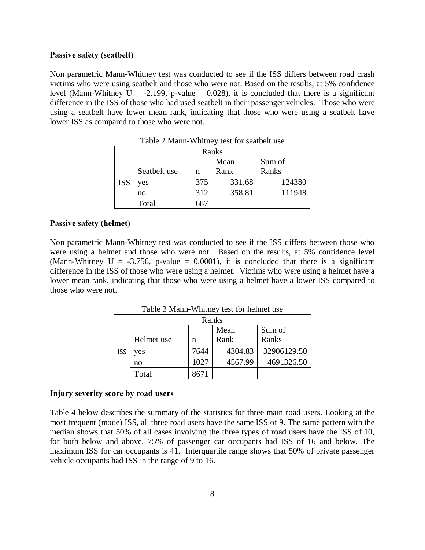#### **Passive safety (seatbelt)**

Non parametric Mann-Whitney test was conducted to see if the ISS differs between road crash victims who were using seatbelt and those who were not. Based on the results, at 5% confidence level (Mann-Whitney U = -2.199, p-value = 0.028), it is concluded that there is a significant difference in the ISS of those who had used seatbelt in their passenger vehicles. Those who were using a seatbelt have lower mean rank, indicating that those who were using a seatbelt have lower ISS as compared to those who were not.

|            | Ranks        |     |        |        |  |  |  |
|------------|--------------|-----|--------|--------|--|--|--|
|            |              |     | Mean   | Sum of |  |  |  |
|            | Seatbelt use | n   | Rank   | Ranks  |  |  |  |
| <b>ISS</b> | ves          | 375 | 331.68 | 124380 |  |  |  |
|            | no           | 312 | 358.81 | 111948 |  |  |  |
|            | Total        |     |        |        |  |  |  |

Table 2 Mann-Whitney test for seatbelt use

#### **Passive safety (helmet)**

Non parametric Mann-Whitney test was conducted to see if the ISS differs between those who were using a helmet and those who were not. Based on the results, at 5% confidence level (Mann-Whitney U =  $-3.756$ , p-value = 0.0001), it is concluded that there is a significant difference in the ISS of those who were using a helmet. Victims who were using a helmet have a lower mean rank, indicating that those who were using a helmet have a lower ISS compared to those who were not.

Table 3 Mann-Whitney test for helmet use

|            | Ranks      |      |         |             |  |  |  |
|------------|------------|------|---------|-------------|--|--|--|
|            |            |      | Mean    | Sum of      |  |  |  |
|            | Helmet use | n    | Rank    | Ranks       |  |  |  |
| <b>ISS</b> | ves        | 7644 | 4304.83 | 32906129.50 |  |  |  |
|            | no         | 1027 | 4567.99 | 4691326.50  |  |  |  |
|            | Total      | 8671 |         |             |  |  |  |

#### **Injury severity score by road users**

Table 4 below describes the summary of the statistics for three main road users. Looking at the most frequent (mode) ISS, all three road users have the same ISS of 9. The same pattern with the median shows that 50% of all cases involving the three types of road users have the ISS of 10, for both below and above. 75% of passenger car occupants had ISS of 16 and below. The maximum ISS for car occupants is 41. Interquartile range shows that 50% of private passenger vehicle occupants had ISS in the range of 9 to 16.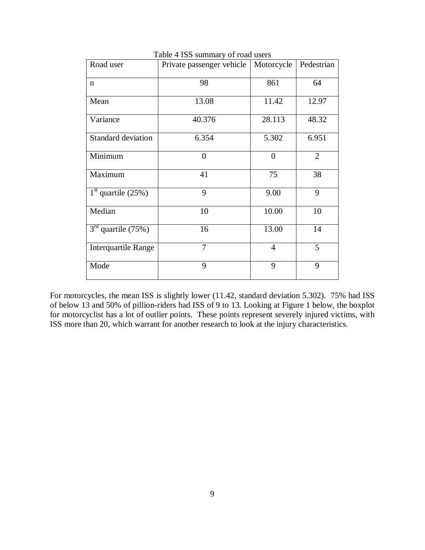| Road user                  | $\frac{1}{2}$<br>Private passenger vehicle | Motorcycle     | Pedestrian     |
|----------------------------|--------------------------------------------|----------------|----------------|
| $\mathbf n$                | 98                                         | 861            | 64             |
| Mean                       | 13.08                                      | 11.42          | 12.97          |
| Variance                   | 40.376                                     | 28.113         | 48.32          |
| Standard deviation         | 6.354                                      | 5.302          | 6.951          |
| Minimum                    | $\theta$                                   | $\theta$       | $\overline{2}$ |
| Maximum                    | 41                                         | 75             | 38             |
| $1st$ quartile (25%)       | 9                                          | 9.00           | 9              |
| Median                     | 10                                         | 10.00          | 10             |
| $3rd$ quartile (75%)       | 16                                         | 13.00          | 14             |
| <b>Interquartile Range</b> | $\overline{7}$                             | $\overline{4}$ | 5              |
| Mode                       | 9                                          | 9              | 9              |

Table 4 ISS summary of road users

For motorcycles, the mean ISS is slightly lower (11.42, standard deviation 5.302). 75% had ISS of below 13 and 50% of pillion-riders had ISS of 9 to 13. Looking at Figure 1 below, the boxplot for motorcyclist has a lot of outlier points. These points represent severely injured victims, with ISS more than 20, which warrant for another research to look at the injury characteristics.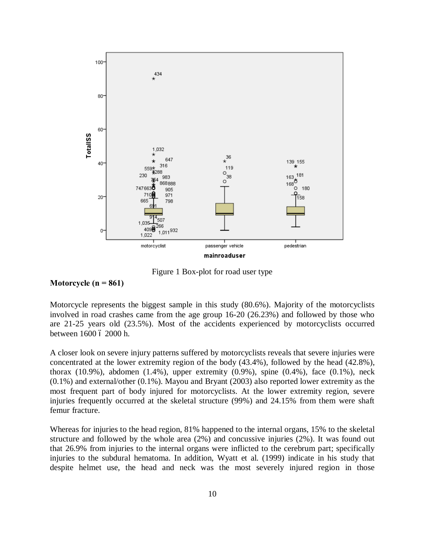

Figure 1 Box-plot for road user type

### **Motorcycle (n = 861)**

Motorcycle represents the biggest sample in this study (80.6%). Majority of the motorcyclists involved in road crashes came from the age group 16-20 (26.23%) and followed by those who are 21-25 years old (23.5%). Most of the accidents experienced by motorcyclists occurred between 1600 ó 2000 h.

A closer look on severe injury patterns suffered by motorcyclists reveals that severe injuries were concentrated at the lower extremity region of the body (43.4%), followed by the head (42.8%), thorax  $(10.9\%)$ , abdomen  $(1.4\%)$ , upper extremity  $(0.9\%)$ , spine  $(0.4\%)$ , face  $(0.1\%)$ , neck (0.1%) and external/other (0.1%). Mayou and Bryant (2003) also reported lower extremity as the most frequent part of body injured for motorcyclists. At the lower extremity region, severe injuries frequently occurred at the skeletal structure (99%) and 24.15% from them were shaft femur fracture.

Whereas for injuries to the head region, 81% happened to the internal organs, 15% to the skeletal structure and followed by the whole area (2%) and concussive injuries (2%). It was found out that 26.9% from injuries to the internal organs were inflicted to the cerebrum part; specifically injuries to the subdural hematoma. In addition, Wyatt et al. (1999) indicate in his study that despite helmet use, the head and neck was the most severely injured region in those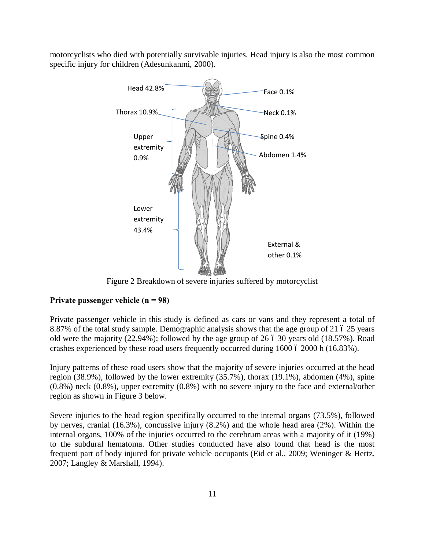motorcyclists who died with potentially survivable injuries. Head injury is also the most common specific injury for children (Adesunkanmi, 2000).



Figure 2 Breakdown of severe injuries suffered by motorcyclist

### **Private passenger vehicle (n = 98)**

Private passenger vehicle in this study is defined as cars or vans and they represent a total of 8.87% of the total study sample. Demographic analysis shows that the age group of 21 6 25 years old were the majority  $(22.94\%)$ ; followed by the age group of 26  $\acute{o}$  30 years old  $(18.57\%)$ . Road crashes experienced by these road users frequently occurred during  $1600$  ó  $2000$  h ( $16.83\%$ ).

Injury patterns of these road users show that the majority of severe injuries occurred at the head region (38.9%), followed by the lower extremity (35.7%), thorax (19.1%), abdomen (4%), spine (0.8%) neck (0.8%), upper extremity (0.8%) with no severe injury to the face and external/other region as shown in Figure 3 below.

Severe injuries to the head region specifically occurred to the internal organs (73.5%), followed by nerves, cranial (16.3%), concussive injury (8.2%) and the whole head area (2%). Within the internal organs, 100% of the injuries occurred to the cerebrum areas with a majority of it (19%) to the subdural hematoma. Other studies conducted have also found that head is the most frequent part of body injured for private vehicle occupants (Eid et al., 2009; Weninger & Hertz, 2007; Langley & Marshall, 1994).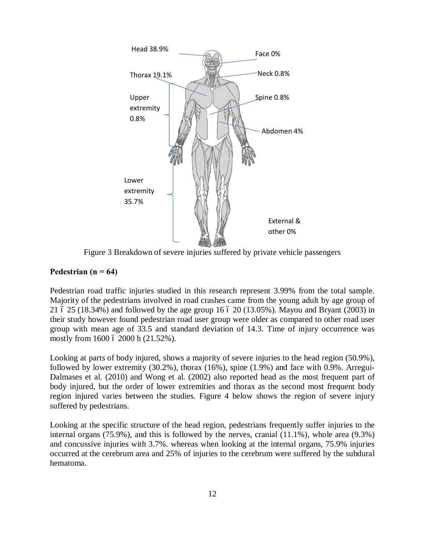

Figure 3 Breakdown of severe injuries suffered by private vehicle passengers

## Pedestrian  $(n = 64)$

Pedestrian road traffic injuries studied in this research represent 3.99% from the total sample. Majority of the pedestrians involved in road crashes came from the young adult by age group of 21  $6$  25 (18.34%) and followed by the age group 16  $6$  20 (13.05%). Mayou and Bryant (2003) in their study however found pedestrian road user group were older as compared to other road user group with mean age of 33.5 and standard deviation of 14.3. Time of injury occurrence was mostly from 1600 6 2000 h (21.52%).

Looking at parts of body injured, shows a majority of severe injuries to the head region (50.9%), followed by lower extremity (30.2%), thorax (16%), spine (1.9%) and face with 0.9%. Arregui-Dalmases et al. (2010) and Wong et al. (2002) also reported head as the most frequent part of body injured, but the order of lower extremities and thorax as the second most frequent body region injured varies between the studies. Figure 4 below shows the region of severe injury suffered by pedestrians.

Looking at the specific structure of the head region, pedestrians frequently suffer injuries to the internal organs (75.9%), and this is followed by the nerves, cranial (11.1%), whole area (9.3%) and concussive injuries with 3.7%. whereas when looking at the internal organs, 75.9% injuries occurred at the cerebrum area and 25% of injuries to the cerebrum were suffered by the subdural hematoma.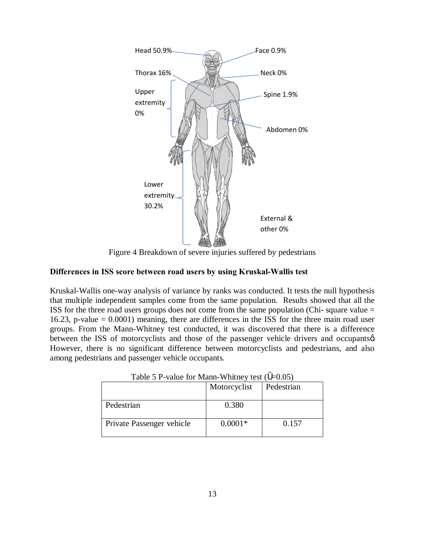

Figure 4 Breakdown of severe injuries suffered by pedestrians

## **Differences in ISS score between road users by using Kruskal-Wallis test**

Kruskal-Wallis one-way analysis of variance by ranks was conducted. It tests the null hypothesis that multiple independent samples come from the same population. Results showed that all the ISS for the three road users groups does not come from the same population (Chi- square value = 16.23, p-value = 0.0001) meaning, there are differences in the ISS for the three main road user groups. From the Mann-Whitney test conducted, it was discovered that there is a difference between the ISS of motorcyclists and those of the passenger vehicle drivers and occupants  $\alpha$ . However, there is no significant difference between motorcyclists and pedestrians, and also among pedestrians and passenger vehicle occupants.

| THERE Is a value for typiant while the rest of<br>$-v.v.v.$ |              |            |  |  |  |
|-------------------------------------------------------------|--------------|------------|--|--|--|
|                                                             | Motorcyclist | Pedestrian |  |  |  |
| Pedestrian                                                  | 0.380        |            |  |  |  |
| Private Passenger vehicle                                   | $0.0001*$    | 0.157      |  |  |  |

Table 5 P-value for Mann-Whitney test  $(-0.05)$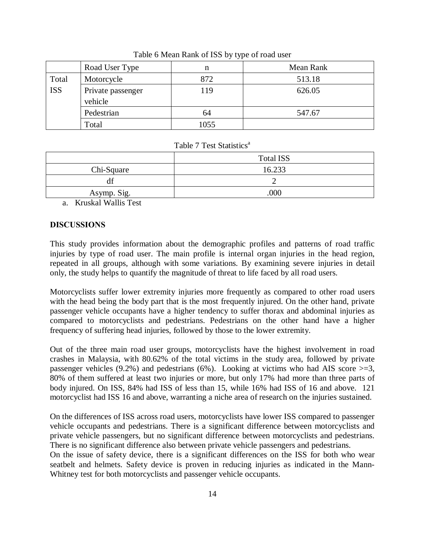|            | Road User Type               | n    | Mean Rank |
|------------|------------------------------|------|-----------|
| Total      | Motorcycle                   | 872  | 513.18    |
| <b>ISS</b> | Private passenger<br>vehicle | 119  | 626.05    |
|            | Pedestrian                   | 64   | 547.67    |
|            | Total                        | 1055 |           |

Table 6 Mean Rank of ISS by type of road user

### Table 7 Test Statistics<sup>a</sup>

|             | <b>Total ISS</b> |
|-------------|------------------|
| Chi-Square  | 16.233           |
| df          |                  |
| Asymp. Sig. | .000             |

a. Kruskal Wallis Test

### **DISCUSSIONS**

This study provides information about the demographic profiles and patterns of road traffic injuries by type of road user. The main profile is internal organ injuries in the head region, repeated in all groups, although with some variations. By examining severe injuries in detail only, the study helps to quantify the magnitude of threat to life faced by all road users.

Motorcyclists suffer lower extremity injuries more frequently as compared to other road users with the head being the body part that is the most frequently injured. On the other hand, private passenger vehicle occupants have a higher tendency to suffer thorax and abdominal injuries as compared to motorcyclists and pedestrians. Pedestrians on the other hand have a higher frequency of suffering head injuries, followed by those to the lower extremity.

Out of the three main road user groups, motorcyclists have the highest involvement in road crashes in Malaysia, with 80.62% of the total victims in the study area, followed by private passenger vehicles (9.2%) and pedestrians (6%). Looking at victims who had AIS score  $>=3$ , 80% of them suffered at least two injuries or more, but only 17% had more than three parts of body injured. On ISS, 84% had ISS of less than 15, while 16% had ISS of 16 and above. 121 motorcyclist had ISS 16 and above, warranting a niche area of research on the injuries sustained.

On the differences of ISS across road users, motorcyclists have lower ISS compared to passenger vehicle occupants and pedestrians. There is a significant difference between motorcyclists and private vehicle passengers, but no significant difference between motorcyclists and pedestrians. There is no significant difference also between private vehicle passengers and pedestrians.

On the issue of safety device, there is a significant differences on the ISS for both who wear seatbelt and helmets. Safety device is proven in reducing injuries as indicated in the Mann-Whitney test for both motorcyclists and passenger vehicle occupants.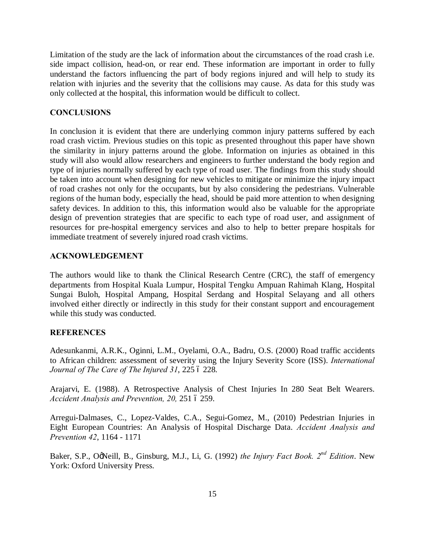Limitation of the study are the lack of information about the circumstances of the road crash i.e. side impact collision, head-on, or rear end. These information are important in order to fully understand the factors influencing the part of body regions injured and will help to study its relation with injuries and the severity that the collisions may cause. As data for this study was only collected at the hospital, this information would be difficult to collect.

### **CONCLUSIONS**

In conclusion it is evident that there are underlying common injury patterns suffered by each road crash victim. Previous studies on this topic as presented throughout this paper have shown the similarity in injury patterns around the globe. Information on injuries as obtained in this study will also would allow researchers and engineers to further understand the body region and type of injuries normally suffered by each type of road user. The findings from this study should be taken into account when designing for new vehicles to mitigate or minimize the injury impact of road crashes not only for the occupants, but by also considering the pedestrians. Vulnerable regions of the human body, especially the head, should be paid more attention to when designing safety devices. In addition to this, this information would also be valuable for the appropriate design of prevention strategies that are specific to each type of road user, and assignment of resources for pre-hospital emergency services and also to help to better prepare hospitals for immediate treatment of severely injured road crash victims.

### **ACKNOWLEDGEMENT**

The authors would like to thank the Clinical Research Centre (CRC), the staff of emergency departments from Hospital Kuala Lumpur, Hospital Tengku Ampuan Rahimah Klang, Hospital Sungai Buloh, Hospital Ampang, Hospital Serdang and Hospital Selayang and all others involved either directly or indirectly in this study for their constant support and encouragement while this study was conducted.

## **REFERENCES**

Adesunkanmi, A.R.K., Oginni, L.M., Oyelami, O.A., Badru, O.S. (2000) Road traffic accidents to African children: assessment of severity using the Injury Severity Score (ISS). *International*  Journal of The Care of The Injured 31, 225 6 228.

Arajarvi, E. (1988). A Retrospective Analysis of Chest Injuries In 280 Seat Belt Wearers. Accident Analysis and Prevention, 20, 251 6 259.

Arregui-Dalmases, C., Lopez-Valdes, C.A., Segui-Gomez, M., (2010) Pedestrian Injuries in Eight European Countries: An Analysis of Hospital Discharge Data. *Accident Analysis and Prevention 42*, 1164 - 1171

Baker, S.P., OgNeill, B., Ginsburg, M.J., Li, G. (1992) *the Injury Fact Book.*  $2^{nd}$  *Edition*. New York: Oxford University Press.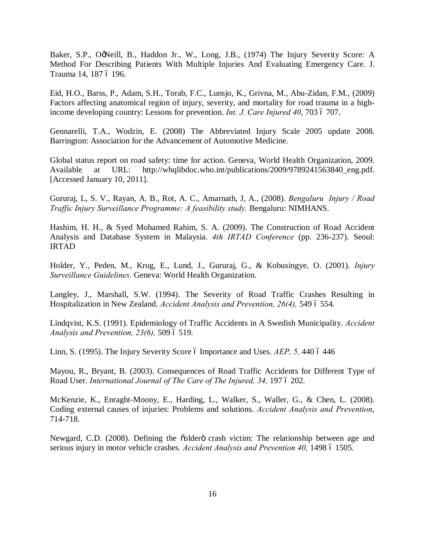Baker, S.P., OgNeill, B., Haddon Jr., W., Long, J.B., (1974) The Injury Severity Score: A Method For Describing Patients With Multiple Injuries And Evaluating Emergency Care. J. Trauma 14, 187 ó 196.

Eid, H.O., Barss, P., Adam, S.H., Torab, F.C., Lunsjo, K., Grivna, M., Abu-Zidan, F.M., (2009) Factors affecting anatomical region of injury, severity, and mortality for road trauma in a highincome developing country: Lessons for prevention. *Int. J. Care Injured 40*, 703 6 707.

Gennarelli, T.A., Wodzin, E. (2008) The Abbreviated Injury Scale 2005 update 2008. Barrington: Association for the Advancement of Automotive Medicine.

Global status report on road safety: time for action. Geneva, World Health Organization, 2009. Available at URL: http://whqlibdoc.who.int/publications/2009/9789241563840 eng.pdf. [Accessed January 10, 2011].

Gururaj, L, S. V., Rayan, A. B., Rot, A. C., Amarnath, J, A., (2008). *Bengaluru Injury / Road Traffic Injury Surveillance Programme: A feasibility study.* Bengaluru: NIMHANS.

Hashim, H. H., & Syed Mohamed Rahim, S. A. (2009). The Construction of Road Accident Analysis and Database System in Malaysia. *4th IRTAD Conference* (pp. 236-237). Seoul: IRTAD

Holder, Y., Peden, M., Krug, E., Lund, J., Gururaj, G., & Kobusingye, O. (2001). *Injury Surveillance Guidelines.* Geneva: World Health Organization.

Langley, J., Marshall, S.W. (1994). The Severity of Road Traffic Crashes Resulting in Hospitalization in New Zealand. *Accident Analysis and Prevention, 26(4), 549 6 554.* 

Lindqvist, K.S. (1991). Epidemiology of Traffic Accidents in A Swedish Municipality. *Accident Analysis and Prevention, 23(6), 509 6 519.* 

Linn, S. (1995). The Injury Severity Score 6 Importance and Uses. *AEP*, 5, 440 6 446

Mayou, R., Bryant, B. (2003). Consequences of Road Traffic Accidents for Different Type of Road User. *International Journal of The Care of The Injured, 34, 197 6 202.* 

McKenzie, K., Enraght-Moony, E., Harding, L., Walker, S., Waller, G., & Chen, L. (2008). Coding external causes of injuries: Problems and solutions. *Accident Analysis and Prevention*, 714-718.

Newgard, C.D. (2008). Defining the coldero crash victim: The relationship between age and serious injury in motor vehicle crashes. *Accident Analysis and Prevention 40*, 1498 ó 1505.